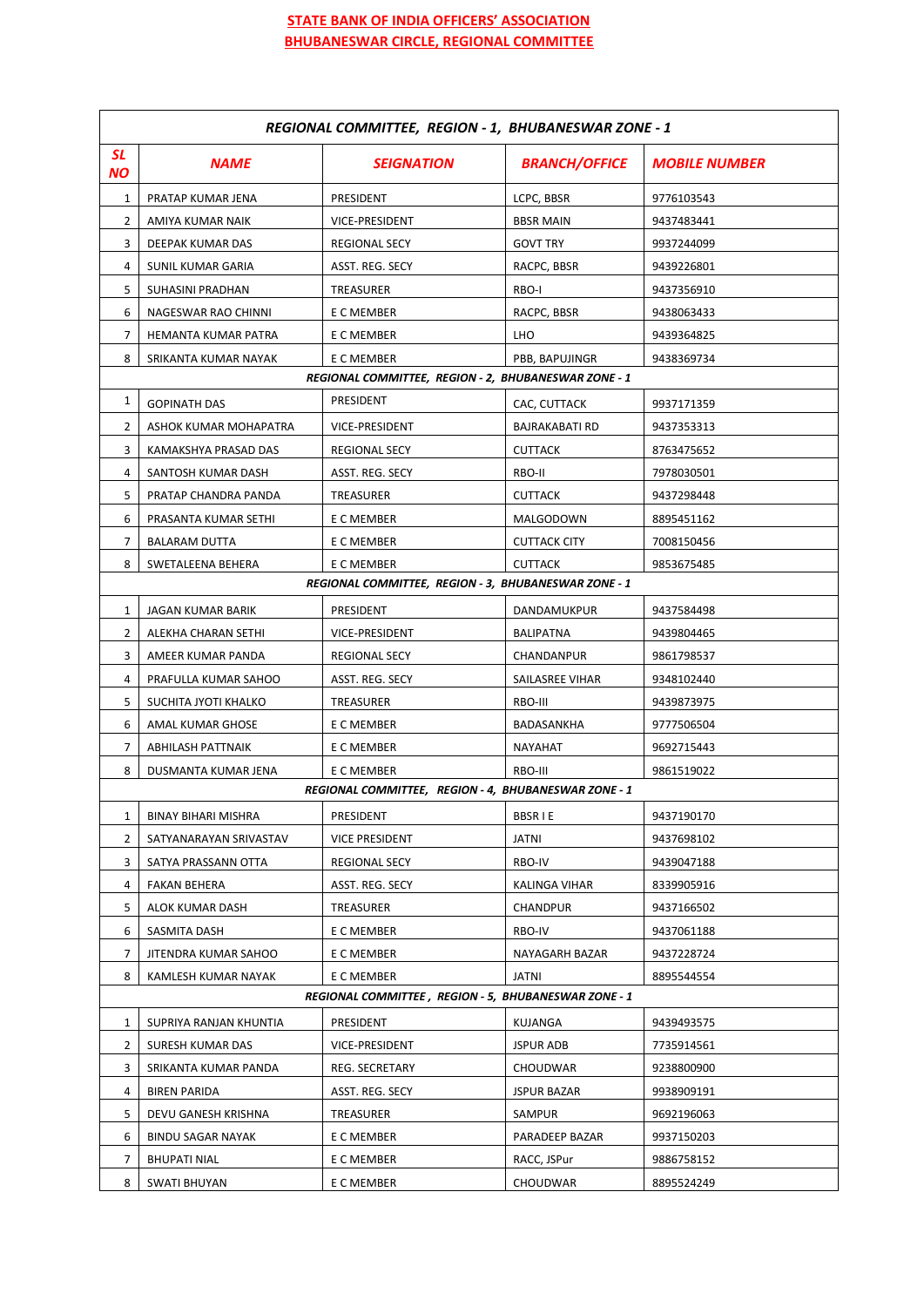## **STATE BANK OF INDIA OFFICERS' ASSOCIATION BHUBANESWAR CIRCLE, REGIONAL COMMITTEE**

| REGIONAL COMMITTEE, REGION - 1, BHUBANESWAR ZONE - 1 |                          |                                                      |                       |                      |  |
|------------------------------------------------------|--------------------------|------------------------------------------------------|-----------------------|----------------------|--|
| <b>SL</b><br>NΟ                                      | <b>NAME</b>              | <b>SEIGNATION</b>                                    | <b>BRANCH/OFFICE</b>  | <b>MOBILE NUMBER</b> |  |
| 1                                                    | PRATAP KUMAR JENA        | PRESIDENT                                            | LCPC, BBSR            | 9776103543           |  |
| 2                                                    | AMIYA KUMAR NAIK         | VICE-PRESIDENT                                       | <b>BBSR MAIN</b>      | 9437483441           |  |
| 3                                                    | DEEPAK KUMAR DAS         | <b>REGIONAL SECY</b>                                 | <b>GOVT TRY</b>       | 9937244099           |  |
| 4                                                    | SUNIL KUMAR GARIA        | ASST. REG. SECY                                      | RACPC, BBSR           | 9439226801           |  |
| 5                                                    | SUHASINI PRADHAN         | TREASURER                                            | RBO-I                 | 9437356910           |  |
| 6                                                    | NAGESWAR RAO CHINNI      | E C MEMBER                                           | RACPC, BBSR           | 9438063433           |  |
| 7                                                    | HEMANTA KUMAR PATRA      | E C MEMBER                                           | LHO                   | 9439364825           |  |
| 8                                                    | SRIKANTA KUMAR NAYAK     | E C MEMBER                                           | PBB, BAPUJINGR        | 9438369734           |  |
|                                                      |                          | REGIONAL COMMITTEE, REGION - 2, BHUBANESWAR ZONE - 1 |                       |                      |  |
| 1                                                    | <b>GOPINATH DAS</b>      | PRESIDENT                                            | CAC, CUTTACK          | 9937171359           |  |
| 2                                                    | ASHOK KUMAR MOHAPATRA    | VICE-PRESIDENT                                       | <b>BAJRAKABATI RD</b> | 9437353313           |  |
| 3                                                    | KAMAKSHYA PRASAD DAS     | <b>REGIONAL SECY</b>                                 | <b>CUTTACK</b>        | 8763475652           |  |
| 4                                                    | SANTOSH KUMAR DASH       | ASST. REG. SECY                                      | RBO-II                | 7978030501           |  |
| 5                                                    | PRATAP CHANDRA PANDA     | TREASURER                                            | <b>CUTTACK</b>        | 9437298448           |  |
| 6                                                    | PRASANTA KUMAR SETHI     | E C MEMBER                                           | MALGODOWN             | 8895451162           |  |
| 7                                                    | <b>BALARAM DUTTA</b>     | E C MEMBER                                           | <b>CUTTACK CITY</b>   | 7008150456           |  |
| 8                                                    | SWETALEENA BEHERA        | E C MEMBER                                           | <b>CUTTACK</b>        | 9853675485           |  |
|                                                      |                          | REGIONAL COMMITTEE, REGION - 3, BHUBANESWAR ZONE - 1 |                       |                      |  |
| 1                                                    | JAGAN KUMAR BARIK        | PRESIDENT                                            | DANDAMUKPUR           | 9437584498           |  |
| 2                                                    | ALEKHA CHARAN SETHI      | VICE-PRESIDENT                                       | <b>BALIPATNA</b>      | 9439804465           |  |
| 3                                                    | AMEER KUMAR PANDA        | <b>REGIONAL SECY</b>                                 | CHANDANPUR            | 9861798537           |  |
| 4                                                    | PRAFULLA KUMAR SAHOO     | ASST. REG. SECY                                      | SAILASREE VIHAR       | 9348102440           |  |
| 5                                                    | SUCHITA JYOTI KHALKO     | TREASURER                                            | RBO-III               | 9439873975           |  |
| 6                                                    | AMAL KUMAR GHOSE         | E C MEMBER                                           | BADASANKHA            | 9777506504           |  |
| 7                                                    | ABHILASH PATTNAIK        | E C MEMBER                                           | NAYAHAT               | 9692715443           |  |
| 8                                                    | DUSMANTA KUMAR JENA      | E C MEMBER                                           | RBO-III               | 9861519022           |  |
|                                                      |                          | REGIONAL COMMITTEE, REGION - 4, BHUBANESWAR ZONE - 1 |                       |                      |  |
| 1                                                    | BINAY BIHARI MISHRA      | PRESIDENT                                            | <b>BBSRIE</b>         | 9437190170           |  |
| 2                                                    | SATYANARAYAN SRIVASTAV   | VICE PRESIDENT                                       | JATNI                 | 9437698102           |  |
| 3                                                    | SATYA PRASSANN OTTA      | REGIONAL SECY                                        | RBO-IV                | 9439047188           |  |
| 4                                                    | FAKAN BEHERA             | ASST. REG. SECY                                      | KALINGA VIHAR         | 8339905916           |  |
| 5                                                    | ALOK KUMAR DASH          | TREASURER                                            | CHANDPUR              | 9437166502           |  |
| 6                                                    | SASMITA DASH             | E C MEMBER                                           | RBO-IV                | 9437061188           |  |
| 7                                                    | JITENDRA KUMAR SAHOO     | E C MEMBER                                           | NAYAGARH BAZAR        | 9437228724           |  |
| 8                                                    | KAMLESH KUMAR NAYAK      | E C MEMBER                                           | <b>JATNI</b>          | 8895544554           |  |
| REGIONAL COMMITTEE, REGION - 5, BHUBANESWAR ZONE - 1 |                          |                                                      |                       |                      |  |
| 1                                                    | SUPRIYA RANJAN KHUNTIA   | PRESIDENT                                            | KUJANGA               | 9439493575           |  |
| 2                                                    | SURESH KUMAR DAS         | VICE-PRESIDENT                                       | <b>JSPUR ADB</b>      | 7735914561           |  |
| 3                                                    | SRIKANTA KUMAR PANDA     | REG. SECRETARY                                       | CHOUDWAR              | 9238800900           |  |
| 4                                                    | <b>BIREN PARIDA</b>      | ASST. REG. SECY                                      | <b>JSPUR BAZAR</b>    | 9938909191           |  |
| 5                                                    | DEVU GANESH KRISHNA      | TREASURER                                            | SAMPUR                | 9692196063           |  |
| 6                                                    | <b>BINDU SAGAR NAYAK</b> | E C MEMBER                                           | PARADEEP BAZAR        | 9937150203           |  |
| 7                                                    | <b>BHUPATI NIAL</b>      | E C MEMBER                                           | RACC, JSPur           | 9886758152           |  |
| 8                                                    | <b>SWATI BHUYAN</b>      | E C MEMBER                                           | CHOUDWAR              | 8895524249           |  |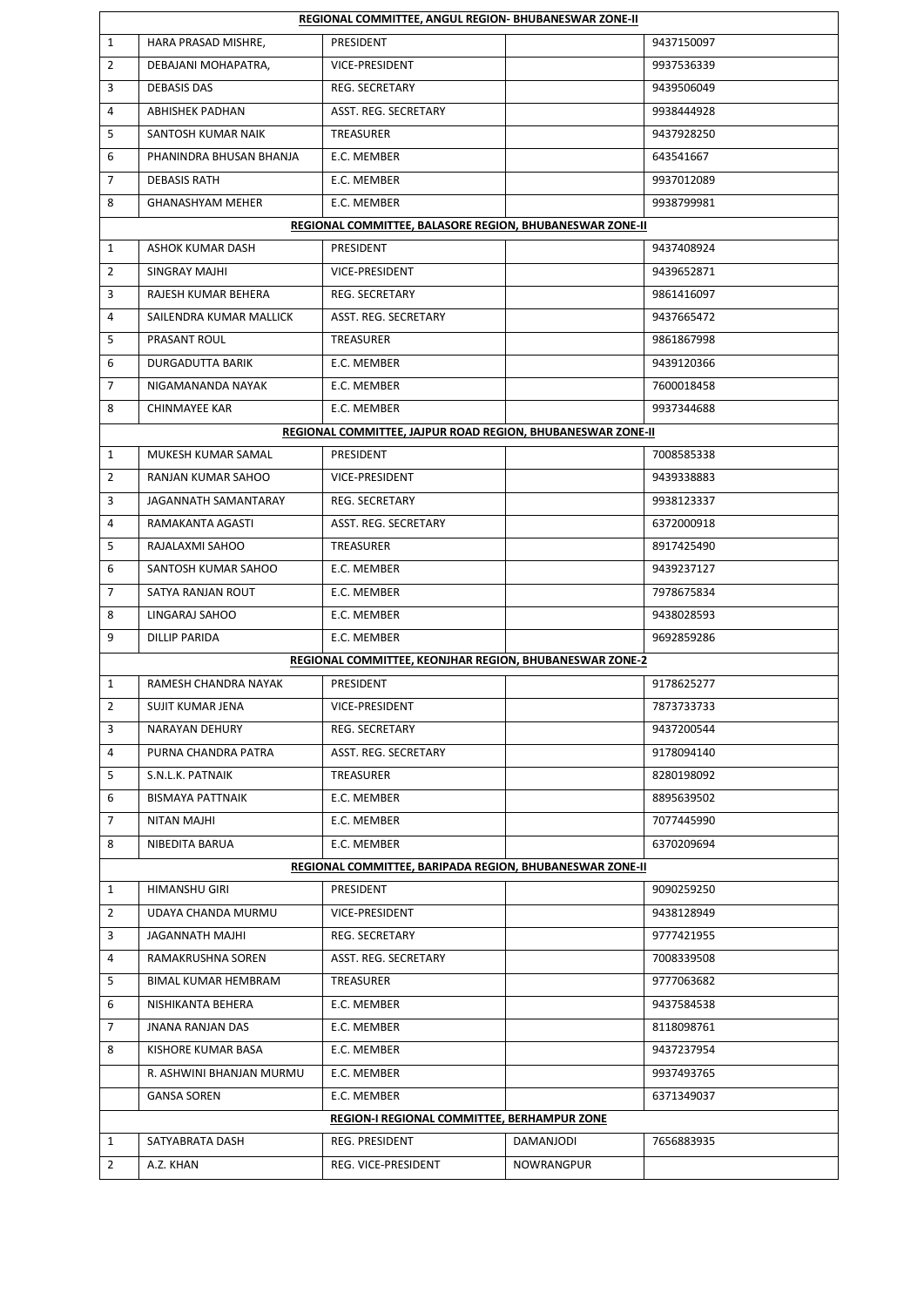|                                             | REGIONAL COMMITTEE, ANGUL REGION- BHUBANESWAR ZONE-II   |                                                             |            |            |  |  |
|---------------------------------------------|---------------------------------------------------------|-------------------------------------------------------------|------------|------------|--|--|
| 1                                           | HARA PRASAD MISHRE,                                     | PRESIDENT                                                   |            | 9437150097 |  |  |
| $\overline{2}$                              | DEBAJANI MOHAPATRA,                                     | VICE-PRESIDENT                                              |            | 9937536339 |  |  |
| 3                                           | <b>DEBASIS DAS</b>                                      | REG. SECRETARY                                              |            | 9439506049 |  |  |
| 4                                           | <b>ABHISHEK PADHAN</b>                                  | ASST. REG. SECRETARY                                        |            | 9938444928 |  |  |
| 5                                           | SANTOSH KUMAR NAIK                                      | TREASURER                                                   |            | 9437928250 |  |  |
| 6                                           | PHANINDRA BHUSAN BHANJA                                 | E.C. MEMBER                                                 |            | 643541667  |  |  |
| $\overline{7}$                              | <b>DEBASIS RATH</b>                                     | E.C. MEMBER                                                 |            | 9937012089 |  |  |
| 8                                           | GHANASHYAM MEHER                                        | E.C. MEMBER                                                 |            | 9938799981 |  |  |
|                                             |                                                         | REGIONAL COMMITTEE, BALASORE REGION, BHUBANESWAR ZONE-II    |            |            |  |  |
| $\mathbf{1}$                                | ASHOK KUMAR DASH                                        | PRESIDENT                                                   |            | 9437408924 |  |  |
| 2                                           | SINGRAY MAJHI                                           | VICE-PRESIDENT                                              |            | 9439652871 |  |  |
| 3                                           | RAJESH KUMAR BEHERA                                     | <b>REG. SECRETARY</b>                                       |            | 9861416097 |  |  |
| 4                                           | SAILENDRA KUMAR MALLICK                                 | ASST. REG. SECRETARY                                        |            | 9437665472 |  |  |
| 5                                           | PRASANT ROUL                                            | TREASURER                                                   |            | 9861867998 |  |  |
| 6                                           | DURGADUTTA BARIK                                        | E.C. MEMBER                                                 |            | 9439120366 |  |  |
| 7                                           | NIGAMANANDA NAYAK                                       | E.C. MEMBER                                                 |            | 7600018458 |  |  |
| 8                                           | <b>CHINMAYEE KAR</b>                                    | E.C. MEMBER                                                 |            | 9937344688 |  |  |
|                                             |                                                         | REGIONAL COMMITTEE, JAJPUR ROAD REGION, BHUBANESWAR ZONE-II |            |            |  |  |
| 1                                           | MUKESH KUMAR SAMAL                                      | PRESIDENT                                                   |            | 7008585338 |  |  |
| $\overline{2}$                              | RANJAN KUMAR SAHOO                                      | VICE-PRESIDENT                                              |            | 9439338883 |  |  |
| 3                                           | JAGANNATH SAMANTARAY                                    | <b>REG. SECRETARY</b>                                       |            | 9938123337 |  |  |
| 4                                           | RAMAKANTA AGASTI                                        | ASST. REG. SECRETARY                                        |            | 6372000918 |  |  |
| 5                                           | RAJALAXMI SAHOO                                         | TREASURER                                                   |            | 8917425490 |  |  |
| 6                                           | SANTOSH KUMAR SAHOO                                     | E.C. MEMBER                                                 |            | 9439237127 |  |  |
| $\overline{7}$                              | SATYA RANJAN ROUT                                       | E.C. MEMBER                                                 |            | 7978675834 |  |  |
| 8                                           | LINGARAJ SAHOO                                          | E.C. MEMBER                                                 |            | 9438028593 |  |  |
| 9                                           | <b>DILLIP PARIDA</b>                                    | E.C. MEMBER                                                 |            | 9692859286 |  |  |
|                                             | REGIONAL COMMITTEE, KEONJHAR REGION, BHUBANESWAR ZONE-2 |                                                             |            |            |  |  |
| $\mathbf{1}$                                | RAMESH CHANDRA NAYAK                                    | PRESIDENT                                                   |            | 9178625277 |  |  |
| 2                                           | SUJIT KUMAR JENA                                        | VICE-PRESIDENT                                              |            | 7873733733 |  |  |
| 3                                           | NARAYAN DEHURY                                          | REG. SECRETARY                                              |            | 9437200544 |  |  |
| 4                                           | PURNA CHANDRA PATRA                                     | ASST. REG. SECRETARY                                        |            | 9178094140 |  |  |
| 5                                           | S.N.L.K. PATNAIK                                        | TREASURER                                                   |            | 8280198092 |  |  |
| 6                                           | <b>BISMAYA PATTNAIK</b>                                 | E.C. MEMBER                                                 |            | 8895639502 |  |  |
| 7                                           | NITAN MAJHI                                             | E.C. MEMBER                                                 |            | 7077445990 |  |  |
| 8                                           | NIBEDITA BARUA                                          | E.C. MEMBER                                                 |            | 6370209694 |  |  |
|                                             |                                                         | REGIONAL COMMITTEE, BARIPADA REGION, BHUBANESWAR ZONE-II    |            |            |  |  |
| $\mathbf{1}$                                | HIMANSHU GIRI                                           | PRESIDENT                                                   |            | 9090259250 |  |  |
| 2                                           | UDAYA CHANDA MURMU                                      | VICE-PRESIDENT                                              |            | 9438128949 |  |  |
| 3                                           | JAGANNATH MAJHI                                         | REG. SECRETARY                                              |            | 9777421955 |  |  |
| 4                                           | RAMAKRUSHNA SOREN                                       | ASST. REG. SECRETARY                                        |            | 7008339508 |  |  |
| 5                                           | BIMAL KUMAR HEMBRAM                                     | TREASURER                                                   |            | 9777063682 |  |  |
| 6                                           | NISHIKANTA BEHERA                                       | E.C. MEMBER                                                 |            | 9437584538 |  |  |
| $\overline{7}$                              | <b>JNANA RANJAN DAS</b>                                 | E.C. MEMBER                                                 |            | 8118098761 |  |  |
| 8                                           | KISHORE KUMAR BASA                                      | E.C. MEMBER                                                 |            | 9437237954 |  |  |
|                                             | R. ASHWINI BHANJAN MURMU                                | E.C. MEMBER                                                 |            | 9937493765 |  |  |
|                                             | GANSA SOREN                                             | E.C. MEMBER                                                 |            | 6371349037 |  |  |
| REGION-I REGIONAL COMMITTEE, BERHAMPUR ZONE |                                                         |                                                             |            |            |  |  |
| 1                                           | SATYABRATA DASH                                         | REG. PRESIDENT                                              | DAMANJODI  | 7656883935 |  |  |
| $\overline{2}$                              | A.Z. KHAN                                               | REG. VICE-PRESIDENT                                         | NOWRANGPUR |            |  |  |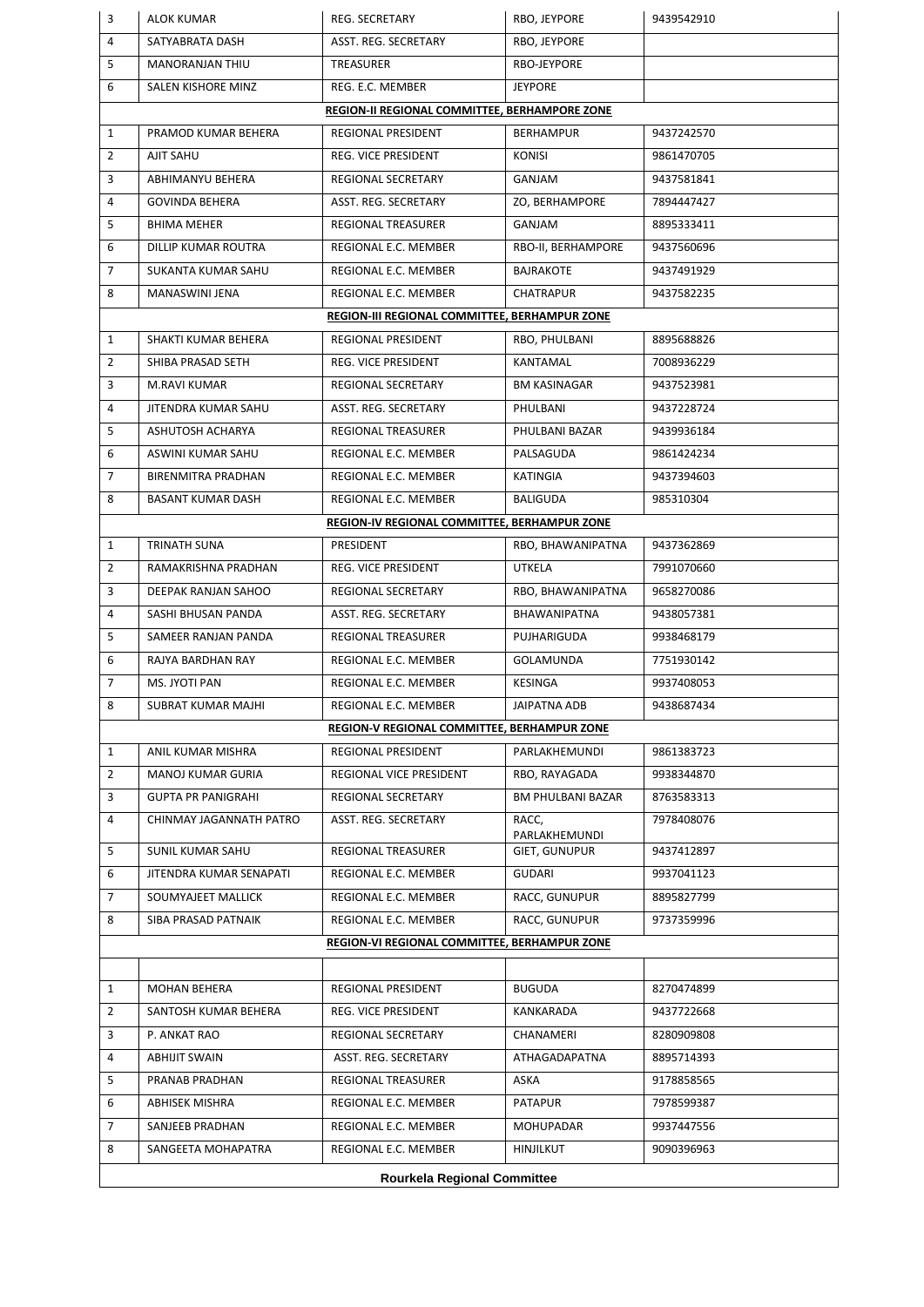|                | <b>Rourkela Regional Committee</b>            |                                               |                                   |            |  |  |
|----------------|-----------------------------------------------|-----------------------------------------------|-----------------------------------|------------|--|--|
| 8              | SANGEETA MOHAPATRA                            | REGIONAL E.C. MEMBER                          | <b>HINJILKUT</b>                  | 9090396963 |  |  |
| 7              | SANJEEB PRADHAN                               | REGIONAL E.C. MEMBER                          | <b>MOHUPADAR</b>                  | 9937447556 |  |  |
| 6              | ABHISEK MISHRA                                | REGIONAL E.C. MEMBER                          | PATAPUR                           | 7978599387 |  |  |
| 5              | PRANAB PRADHAN                                | REGIONAL TREASURER                            | ASKA                              | 9178858565 |  |  |
| 4              | <b>ABHIJIT SWAIN</b>                          | ASST. REG. SECRETARY                          | ATHAGADAPATNA                     | 8895714393 |  |  |
| 3              | P. ANKAT RAO                                  | REGIONAL SECRETARY                            | CHANAMERI                         | 8280909808 |  |  |
| $\overline{2}$ | SANTOSH KUMAR BEHERA                          | REG. VICE PRESIDENT                           | KANKARADA                         | 9437722668 |  |  |
| $\mathbf{1}$   | MOHAN BEHERA                                  | REGIONAL PRESIDENT                            | <b>BUGUDA</b>                     | 8270474899 |  |  |
|                |                                               |                                               |                                   |            |  |  |
|                |                                               | REGION-VI REGIONAL COMMITTEE, BERHAMPUR ZONE  |                                   |            |  |  |
| 8              | SIBA PRASAD PATNAIK                           | REGIONAL E.C. MEMBER                          | RACC, GUNUPUR                     | 9737359996 |  |  |
| 7              | SOUMYAJEET MALLICK                            | REGIONAL E.C. MEMBER                          | RACC, GUNUPUR                     | 8895827799 |  |  |
| 6              | JITENDRA KUMAR SENAPATI                       | REGIONAL E.C. MEMBER                          | GUDARI                            | 9937041123 |  |  |
| 5              | SUNIL KUMAR SAHU                              | <b>REGIONAL TREASURER</b>                     | <b>GIET, GUNUPUR</b>              | 9437412897 |  |  |
| 4              | CHINMAY JAGANNATH PATRO                       | ASST. REG. SECRETARY                          | PARLAKHEMUNDI                     | 7978408076 |  |  |
| 3              | <b>GUPTA PR PANIGRAHI</b>                     | REGIONAL SECRETARY                            | <b>BM PHULBANI BAZAR</b><br>RACC, | 8763583313 |  |  |
| 2              | MANOJ KUMAR GURIA                             | REGIONAL VICE PRESIDENT                       | RBO, RAYAGADA                     | 9938344870 |  |  |
| $\mathbf{1}$   | ANIL KUMAR MISHRA                             | REGIONAL PRESIDENT                            | PARLAKHEMUNDI                     | 9861383723 |  |  |
|                |                                               | REGION-V REGIONAL COMMITTEE, BERHAMPUR ZONE   |                                   |            |  |  |
| 8              | <b>SUBRAT KUMAR MAJHI</b>                     | REGIONAL E.C. MEMBER                          | JAIPATNA ADB                      | 9438687434 |  |  |
| 7              | MS. JYOTI PAN                                 | REGIONAL E.C. MEMBER                          | <b>KESINGA</b>                    | 9937408053 |  |  |
| 6              | RAJYA BARDHAN RAY                             | REGIONAL E.C. MEMBER                          | GOLAMUNDA                         | 7751930142 |  |  |
| 5              | SAMEER RANJAN PANDA                           | <b>REGIONAL TREASURER</b>                     | PUJHARIGUDA                       | 9938468179 |  |  |
| 4              | SASHI BHUSAN PANDA                            | ASST. REG. SECRETARY                          | <b>BHAWANIPATNA</b>               | 9438057381 |  |  |
| 3              | DEEPAK RANJAN SAHOO                           | REGIONAL SECRETARY                            | RBO, BHAWANIPATNA                 | 9658270086 |  |  |
| $\overline{2}$ | RAMAKRISHNA PRADHAN                           | REG. VICE PRESIDENT                           | UTKELA                            | 7991070660 |  |  |
| $\mathbf{1}$   | TRINATH SUNA                                  | PRESIDENT                                     | RBO, BHAWANIPATNA                 | 9437362869 |  |  |
|                |                                               | REGION-IV REGIONAL COMMITTEE, BERHAMPUR ZONE  |                                   |            |  |  |
| 8              | BASANT KUMAR DASH                             | REGIONAL E.C. MEMBER                          | <b>BALIGUDA</b>                   | 985310304  |  |  |
| 7              | <b>BIRENMITRA PRADHAN</b>                     | REGIONAL E.C. MEMBER                          | KATINGIA                          | 9437394603 |  |  |
| 6              | ASWINI KUMAR SAHU                             | REGIONAL E.C. MEMBER                          | PALSAGUDA                         | 9861424234 |  |  |
| 5              | ASHUTOSH ACHARYA                              | <b>REGIONAL TREASURER</b>                     | PHULBANI BAZAR                    | 9439936184 |  |  |
| 4              | JITENDRA KUMAR SAHU                           | ASST. REG. SECRETARY                          | PHULBANI                          | 9437228724 |  |  |
| 3              | M.RAVI KUMAR                                  | REGIONAL SECRETARY                            | <b>BM KASINAGAR</b>               | 9437523981 |  |  |
| $\overline{2}$ | SHIBA PRASAD SETH                             | REG. VICE PRESIDENT                           | <b>KANTAMAL</b>                   | 7008936229 |  |  |
| $\mathbf{1}$   | SHAKTI KUMAR BEHERA                           | REGIONAL PRESIDENT                            | RBO, PHULBANI                     | 8895688826 |  |  |
|                |                                               | REGION-III REGIONAL COMMITTEE, BERHAMPUR ZONE |                                   |            |  |  |
| 8              | MANASWINI JENA                                | REGIONAL E.C. MEMBER                          | CHATRAPUR                         | 9437582235 |  |  |
| $\overline{7}$ | SUKANTA KUMAR SAHU                            | REGIONAL E.C. MEMBER                          | <b>BAJRAKOTE</b>                  | 9437491929 |  |  |
| 6              | DILLIP KUMAR ROUTRA                           | REGIONAL E.C. MEMBER                          | RBO-II, BERHAMPORE                | 9437560696 |  |  |
| 5              | <b>BHIMA MEHER</b>                            | <b>REGIONAL TREASURER</b>                     | GANJAM                            | 8895333411 |  |  |
| 4              | <b>GOVINDA BEHERA</b>                         | ASST. REG. SECRETARY                          | ZO, BERHAMPORE                    | 7894447427 |  |  |
| 3              | ABHIMANYU BEHERA                              | <b>REGIONAL SECRETARY</b>                     | GANJAM                            | 9437581841 |  |  |
| $\overline{2}$ | AJIT SAHU                                     | REG. VICE PRESIDENT                           | <b>KONISI</b>                     | 9861470705 |  |  |
| 1              | PRAMOD KUMAR BEHERA                           | REGIONAL PRESIDENT                            | <b>BERHAMPUR</b>                  | 9437242570 |  |  |
|                | REGION-II REGIONAL COMMITTEE, BERHAMPORE ZONE |                                               |                                   |            |  |  |
| 6              | SALEN KISHORE MINZ                            | REG. E.C. MEMBER                              | <b>JEYPORE</b>                    |            |  |  |
| 5              | <b>MANORANJAN THIU</b>                        | TREASURER                                     | RBO-JEYPORE                       |            |  |  |
| 4              | SATYABRATA DASH                               | ASST. REG. SECRETARY                          | RBO, JEYPORE                      |            |  |  |
| 3              | <b>ALOK KUMAR</b>                             | <b>REG. SECRETARY</b>                         | RBO, JEYPORE                      | 9439542910 |  |  |